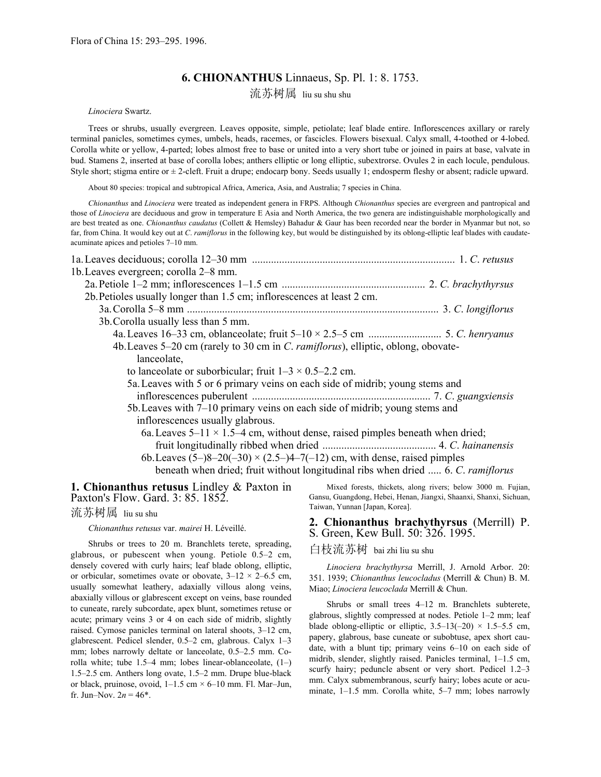# **6. CHIONANTHUS** Linnaeus, Sp. Pl. 1: 8. 1753.

流苏树属 liu su shu shu

*Linociera* Swartz.

 Trees or shrubs, usually evergreen. Leaves opposite, simple, petiolate; leaf blade entire. Inflorescences axillary or rarely terminal panicles, sometimes cymes, umbels, heads, racemes, or fascicles. Flowers bisexual. Calyx small, 4-toothed or 4-lobed. Corolla white or yellow, 4-parted; lobes almost free to base or united into a very short tube or joined in pairs at base, valvate in bud. Stamens 2, inserted at base of corolla lobes; anthers elliptic or long elliptic, subextrorse. Ovules 2 in each locule, pendulous. Style short; stigma entire or  $\pm 2$ -cleft. Fruit a drupe; endocarp bony. Seeds usually 1; endosperm fleshy or absent; radicle upward.

About 80 species: tropical and subtropical Africa, America, Asia, and Australia; 7 species in China.

*Chionanthus* and *Linociera* were treated as independent genera in FRPS. Although *Chionanthus* species are evergreen and pantropical and those of *Linociera* are deciduous and grow in temperature E Asia and North America, the two genera are indistinguishable morphologically and are best treated as one. *Chionanthus caudatus* (Collett & Hemsley) Bahadur & Gaur has been recorded near the border in Myanmar but not, so far, from China. It would key out at *C*. *ramiflorus* in the following key, but would be distinguished by its oblong-elliptic leaf blades with caudateacuminate apices and petioles 7–10 mm.

| 1b. Leaves evergreen; corolla 2–8 mm.                                                     |
|-------------------------------------------------------------------------------------------|
|                                                                                           |
| 2b. Petioles usually longer than 1.5 cm; inflorescences at least 2 cm.                    |
|                                                                                           |
| 3b. Corolla usually less than 5 mm.                                                       |
|                                                                                           |
| 4b. Leaves 5–20 cm (rarely to 30 cm in C. <i>ramiflorus</i> ), elliptic, oblong, obovate- |
| lanceolate,                                                                               |
| to lanceolate or suborbicular; fruit $1-3 \times 0.5-2.2$ cm.                             |
| 5a. Leaves with 5 or 6 primary veins on each side of midrib; young stems and              |
|                                                                                           |
| 5b. Leaves with 7–10 primary veins on each side of midrib; young stems and                |
| inflorescences usually glabrous.                                                          |
| 6a. Leaves 5–11 $\times$ 1.5–4 cm, without dense, raised pimples beneath when dried;      |
|                                                                                           |
| 6b. Leaves $(5-8-20(-30) \times (2.5-4-7(-12))$ cm, with dense, raised pimples            |
| beneath when dried; fruit without longitudinal ribs when dried , 6. C. ramiflorus         |

**1. Chionanthus retusus** Lindley & Paxton in Paxton's Flow. Gard. 3: 85. 1852.

流苏树属 liu su shu

*Chionanthus retusus* var. *mairei* H. Léveillé.

 Shrubs or trees to 20 m. Branchlets terete, spreading, glabrous, or pubescent when young. Petiole 0.5–2 cm, densely covered with curly hairs; leaf blade oblong, elliptic, or orbicular, sometimes ovate or obovate,  $3-12 \times 2-6.5$  cm, usually somewhat leathery, adaxially villous along veins, abaxially villous or glabrescent except on veins, base rounded to cuneate, rarely subcordate, apex blunt, sometimes retuse or acute; primary veins 3 or 4 on each side of midrib, slightly raised. Cymose panicles terminal on lateral shoots, 3–12 cm, glabrescent. Pedicel slender, 0.5–2 cm, glabrous. Calyx 1–3 mm; lobes narrowly deltate or lanceolate, 0.5–2.5 mm. Corolla white; tube 1.5–4 mm; lobes linear-oblanceolate, (1–) 1.5–2.5 cm. Anthers long ovate, 1.5–2 mm. Drupe blue-black or black, pruinose, ovoid,  $1-1.5$  cm  $\times$  6–10 mm. Fl. Mar–Jun, fr. Jun–Nov.  $2n = 46^*$ .

 Mixed forests, thickets, along rivers; below 3000 m. Fujian, Gansu, Guangdong, Hebei, Henan, Jiangxi, Shaanxi, Shanxi, Sichuan, Taiwan, Yunnan [Japan, Korea].

#### **2. Chionanthus brachythyrsus** (Merrill) P. S. Green, Kew Bull. 50: 326. 1995.

## 白枝流苏树 bai zhi liu su shu

 *Linociera brachythyrsa* Merrill, J. Arnold Arbor. 20: 351. 1939; *Chionanthus leucocladus* (Merrill & Chun) B. M. Miao; *Linociera leucoclada* Merrill & Chun.

 Shrubs or small trees 4–12 m. Branchlets subterete, glabrous, slightly compressed at nodes. Petiole 1–2 mm; leaf blade oblong-elliptic or elliptic,  $3.5-13(-20) \times 1.5-5.5$  cm, papery, glabrous, base cuneate or subobtuse, apex short caudate, with a blunt tip; primary veins 6–10 on each side of midrib, slender, slightly raised. Panicles terminal, 1–1.5 cm, scurfy hairy; peduncle absent or very short. Pedicel 1.2–3 mm. Calyx submembranous, scurfy hairy; lobes acute or acuminate, 1–1.5 mm. Corolla white, 5–7 mm; lobes narrowly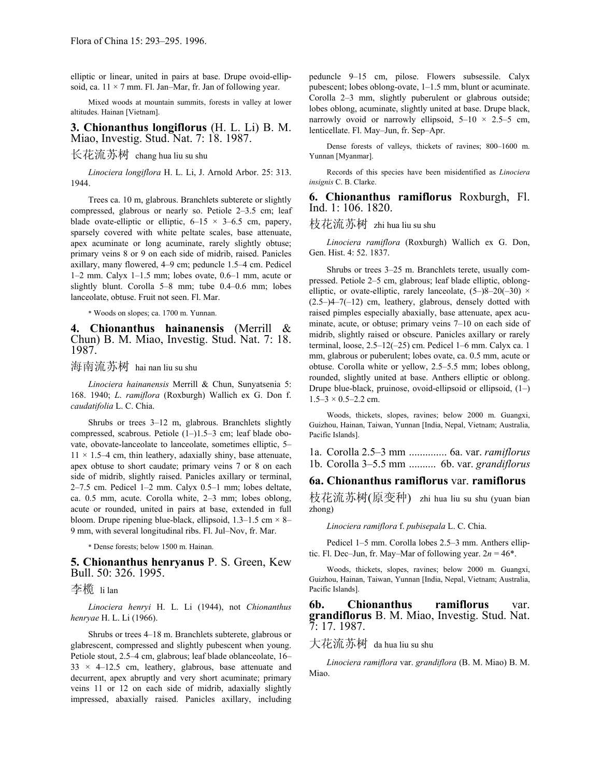elliptic or linear, united in pairs at base. Drupe ovoid-ellipsoid, ca.  $11 \times 7$  mm. Fl. Jan–Mar, fr. Jan of following year.

 Mixed woods at mountain summits, forests in valley at lower altitudes. Hainan [Vietnam].

#### **3. Chionanthus longiflorus** (H. L. Li) B. M. Miao, Investig. Stud. Nat. 7: 18. 1987.

长花流苏树 chang hua liu su shu

 *Linociera longiflora* H. L. Li, J. Arnold Arbor. 25: 313. 1944.

 Trees ca. 10 m, glabrous. Branchlets subterete or slightly compressed, glabrous or nearly so. Petiole 2–3.5 cm; leaf blade ovate-elliptic or elliptic,  $6-15 \times 3-6.5$  cm, papery, sparsely covered with white peltate scales, base attenuate, apex acuminate or long acuminate, rarely slightly obtuse; primary veins 8 or 9 on each side of midrib, raised. Panicles axillary, many flowered, 4–9 cm; peduncle 1.5–4 cm. Pedicel 1–2 mm. Calyx 1–1.5 mm; lobes ovate, 0.6–1 mm, acute or slightly blunt. Corolla 5–8 mm; tube 0.4–0.6 mm; lobes lanceolate, obtuse. Fruit not seen. Fl. Mar.

\* Woods on slopes; ca. 1700 m. Yunnan.

### **4. Chionanthus hainanensis** (Merrill & Chun) B. M. Miao, Investig. Stud. Nat. 7: 18. 1987.

海南流苏树 hai nan liu su shu

 *Linociera hainanensis* Merrill & Chun, Sunyatsenia 5: 168. 1940; *L*. *ramiflora* (Roxburgh) Wallich ex G. Don f. *caudatifolia* L. C. Chia.

 Shrubs or trees 3–12 m, glabrous. Branchlets slightly compressed, scabrous. Petiole (1–)1.5–3 cm; leaf blade obovate, obovate-lanceolate to lanceolate, sometimes elliptic, 5–  $11 \times 1.5-4$  cm, thin leathery, adaxially shiny, base attenuate, apex obtuse to short caudate; primary veins 7 or 8 on each side of midrib, slightly raised. Panicles axillary or terminal, 2–7.5 cm. Pedicel 1–2 mm. Calyx 0.5–1 mm; lobes deltate, ca. 0.5 mm, acute. Corolla white, 2–3 mm; lobes oblong, acute or rounded, united in pairs at base, extended in full bloom. Drupe ripening blue-black, ellipsoid,  $1.3-1.5$  cm  $\times$  8– 9 mm, with several longitudinal ribs. Fl. Jul–Nov, fr. Mar.

\* Dense forests; below 1500 m. Hainan.

**5. Chionanthus henryanus** P. S. Green, Kew Bull. 50: 326. 1995.

### 李榄 li lan

 *Linociera henryi* H. L. Li (1944), not *Chionanthus henryae* H. L. Li (1966).

 Shrubs or trees 4–18 m. Branchlets subterete, glabrous or glabrescent, compressed and slightly pubescent when young. Petiole stout, 2.5–4 cm, glabrous; leaf blade oblanceolate, 16–  $33 \times 4$ –12.5 cm, leathery, glabrous, base attenuate and decurrent, apex abruptly and very short acuminate; primary veins 11 or 12 on each side of midrib, adaxially slightly impressed, abaxially raised. Panicles axillary, including peduncle 9–15 cm, pilose. Flowers subsessile. Calyx pubescent; lobes oblong-ovate, 1–1.5 mm, blunt or acuminate. Corolla 2–3 mm, slightly puberulent or glabrous outside; lobes oblong, acuminate, slightly united at base. Drupe black, narrowly ovoid or narrowly ellipsoid,  $5-10 \times 2.5-5$  cm, lenticellate. Fl. May–Jun, fr. Sep–Apr.

 Dense forests of valleys, thickets of ravines; 800–1600 m. Yunnan [Myanmar].

 Records of this species have been misidentified as *Linociera insignis* C. B. Clarke.

### **6. Chionanthus ramiflorus** Roxburgh, Fl. Ind. 1: 106. 1820.

## 枝花流苏树 zhi hua liu su shu

 *Linociera ramiflora* (Roxburgh) Wallich ex G. Don, Gen. Hist. 4: 52. 1837.

 Shrubs or trees 3–25 m. Branchlets terete, usually compressed. Petiole 2–5 cm, glabrous; leaf blade elliptic, oblongelliptic, or ovate-elliptic, rarely lanceolate,  $(5-)8-20(-30)$  ×  $(2.5-)4-7(-12)$  cm, leathery, glabrous, densely dotted with raised pimples especially abaxially, base attenuate, apex acuminate, acute, or obtuse; primary veins 7–10 on each side of midrib, slightly raised or obscure. Panicles axillary or rarely terminal, loose, 2.5–12(–25) cm. Pedicel 1–6 mm. Calyx ca. 1 mm, glabrous or puberulent; lobes ovate, ca. 0.5 mm, acute or obtuse. Corolla white or yellow, 2.5–5.5 mm; lobes oblong, rounded, slightly united at base. Anthers elliptic or oblong. Drupe blue-black, pruinose, ovoid-ellipsoid or ellipsoid, (1–)  $1.5-3 \times 0.5-2.2$  cm.

 Woods, thickets, slopes, ravines; below 2000 m. Guangxi, Guizhou, Hainan, Taiwan, Yunnan [India, Nepal, Vietnam; Australia, Pacific Islands].

1a. Corolla 2.5–3 mm .............. 6a. var. *ramiflorus* 1b. Corolla 3–5.5 mm .......... 6b. var. *grandiflorus*

#### **6a. Chionanthus ramiflorus** var. **ramiflorus**

枝花流苏树(原变种) zhi hua liu su shu (yuan bian zhong)

 *Linociera ramiflora* f. *pubisepala* L. C. Chia.

 Pedicel 1–5 mm. Corolla lobes 2.5–3 mm. Anthers elliptic. Fl. Dec–Jun, fr. May–Mar of following year.  $2n = 46^*$ .

 Woods, thickets, slopes, ravines; below 2000 m. Guangxi, Guizhou, Hainan, Taiwan, Yunnan [India, Nepal, Vietnam; Australia, Pacific Islands].

**6b. Chionanthus ramiflorus** var. **grandiflorus** B. M. Miao, Investig. Stud. Nat. 7: 17. 1987.

## 大花流苏树 da hua liu su shu

 *Linociera ramiflora* var. *grandiflora* (B. M. Miao) B. M. Miao.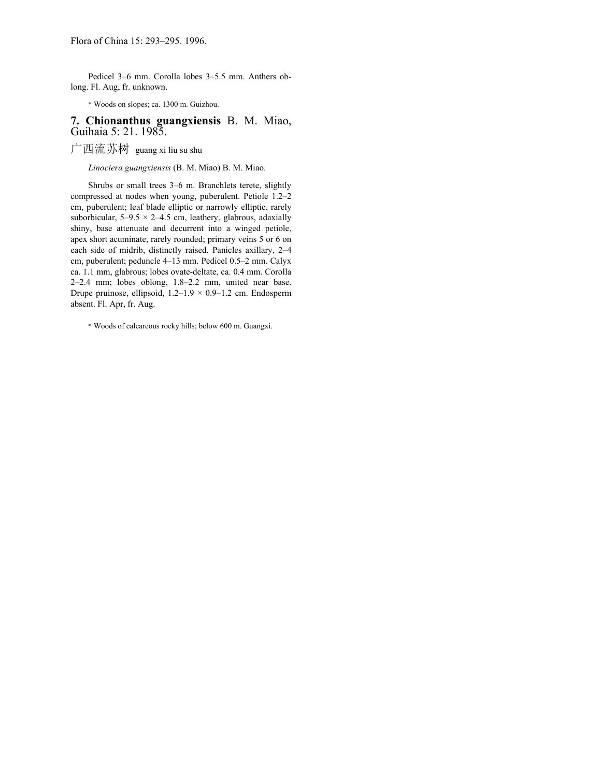Pedicel 3–6 mm. Corolla lobes 3–5.5 mm. Anthers oblong. Fl. Aug, fr. unknown.

\* Woods on slopes; ca. 1300 m. Guizhou.

## **7. Chionanthus guangxiensis** B. M. Miao, Guihaia 5: 21. 1985.

广西流苏树 guang xi liu su shu

 *Linociera guangxiensis* (B. M. Miao) B. M. Miao.

 Shrubs or small trees 3–6 m. Branchlets terete, slightly compressed at nodes when young, puberulent. Petiole 1.2–2 cm, puberulent; leaf blade elliptic or narrowly elliptic, rarely suborbicular,  $5-9.5 \times 2-4.5$  cm, leathery, glabrous, adaxially shiny, base attenuate and decurrent into a winged petiole, apex short acuminate, rarely rounded; primary veins 5 or 6 on each side of midrib, distinctly raised. Panicles axillary, 2–4 cm, puberulent; peduncle 4–13 mm. Pedicel 0.5–2 mm. Calyx ca. 1.1 mm, glabrous; lobes ovate-deltate, ca. 0.4 mm. Corolla 2–2.4 mm; lobes oblong, 1.8–2.2 mm, united near base. Drupe pruinose, ellipsoid,  $1.2-1.9 \times 0.9-1.2$  cm. Endosperm absent. Fl. Apr, fr. Aug.

\* Woods of calcareous rocky hills; below 600 m. Guangxi.